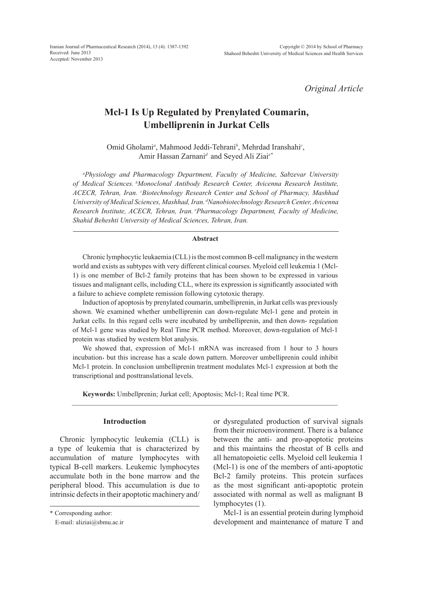*Original Article*

# **Mcl-1 Is Up Regulated by Prenylated Coumarin, Umbelliprenin in Jurkat Cells**

Omid Gholami*<sup>a</sup>* , Mahmood Jeddi-Tehrani*<sup>b</sup>* , Mehrdad Iranshahi*<sup>c</sup>* , Amir Hassan Zarnani*<sup>d</sup>* and Seyed Ali Ziai*e\**

*a Physiology and Pharmacology Department, Faculty of Medicine, Sabzevar University of Medical Sciences. bMonoclonal Antibody Research Center, Avicenna Research Institute, ACECR, Tehran, Iran. c Biotechnology Research Center and School of Pharmacy, Mashhad University of Medical Sciences, Mashhad, Iran. dNanobiotechnology Research Center, Avicenna Research Institute, ACECR, Tehran, Iran. ePharmacology Department, Faculty of Medicine, Shahid Beheshti University of Medical Sciences, Tehran, Iran.*

#### **Abstract**

Chronic lymphocytic leukaemia (CLL) is the most common B-cell malignancy in the western world and exists as subtypes with very different clinical courses. Myeloid cell leukemia 1 (Mcl-1) is one member of Bcl-2 family proteins that has been shown to be expressed in various tissues and malignant cells, including CLL, where its expression is significantly associated with a failure to achieve complete remission following cytotoxic therapy.

Induction of apoptosis by prenylated coumarin, umbelliprenin, in Jurkat cells was previously shown. We examined whether umbelliprenin can down-regulate Mcl-1 gene and protein in Jurkat cells. In this regard cells were incubated by umbelliprenin, and then down- regulation of Mcl-1 gene was studied by Real Time PCR method. Moreover, down-regulation of Mcl-1 protein was studied by western blot analysis.

We showed that, expression of Mcl-1 mRNA was increased from 1 hour to 3 hours incubation, but this increase has a scale down pattern. Moreover umbelliprenin could inhibit Mcl-1 protein. In conclusion umbelliprenin treatment modulates Mcl-1 expression at both the transcriptional and posttranslational levels.

**Keywords:** Umbellprenin; Jurkat cell; Apoptosis; Mcl-1; Real time PCR.

# **Introduction**

Chronic lymphocytic leukemia (CLL) is a type of leukemia that is characterized by accumulation of mature lymphocytes with typical B-cell markers. Leukemic lymphocytes accumulate both in the bone marrow and the peripheral blood. This accumulation is due to intrinsic defects in their apoptotic machinery and/

\* Corresponding author:

or dysregulated production of survival signals from their microenvironment. There is a balance between the anti- and pro-apoptotic proteins and this maintains the rheostat of B cells and all hematopoietic cells. Myeloid cell leukemia 1 (Mcl-1) is one of the members of anti-apoptotic Bcl-2 family proteins. This protein surfaces as the most significant anti-apoptotic protein associated with normal as well as malignant B lymphocytes (1).

Mcl-1 is an essential protein during lymphoid development and maintenance of mature T and

E-mail: aliziai@sbmu.ac.ir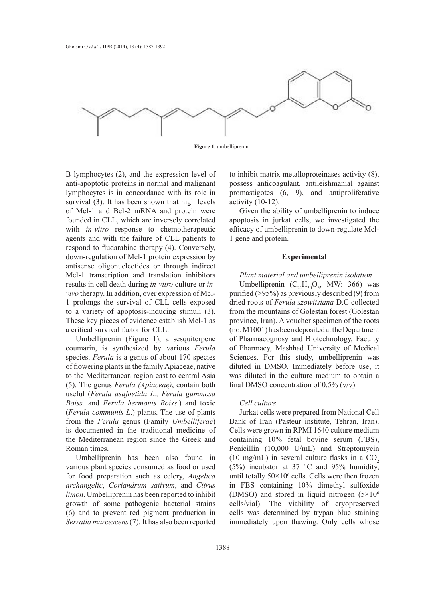

**Figure 1.** umbelliprenin.

B lymphocytes (2), and the expression level of anti-apoptotic proteins in normal and malignant lymphocytes is in concordance with its role in survival (3). It has been shown that high levels of Mcl-1 and Bcl-2 mRNA and protein were founded in CLL, which are inversely correlated with *in-vitro* response to chemotherapeutic agents and with the failure of CLL patients to respond to fludarabine therapy (4). Conversely, down-regulation of Mcl-1 protein expression by antisense oligonucleotides or through indirect Mcl-1 transcription and translation inhibitors results in cell death during *in-vitro* culture or *invivo* therapy. In addition, over expression of Mcl-1 prolongs the survival of CLL cells exposed to a variety of apoptosis-inducing stimuli (3). These key pieces of evidence establish Mcl-1 as a critical survival factor for CLL.

Umbelliprenin (Figure 1), a sesquiterpene coumarin, is synthesized by various *Ferula* species. *Ferula* is a genus of about 170 species of flowering plants in the family Apiaceae, native to the Mediterranean region east to central Asia (5). The genus *Ferula (Apiaceae)*, contain both useful (*Ferula asafoetida L., Ferula gummosa Boiss.* and *Ferula hermonis Boiss*.) and toxic (*Ferula communis L*.) plants. The use of plants from the *Ferula* genus (Family *Umbelliferae*) is documented in the traditional medicine of the Mediterranean region since the Greek and Roman times.

Umbelliprenin has been also found in various plant species consumed as food or used for food preparation such as celery, *Angelica archangelic*, *Coriandrum sativum*, and *Citrus limon*. Umbelliprenin has been reported to inhibit growth of some pathogenic bacterial strains (6) and to prevent red pigment production in *Serratia marcescens* (7). It has also been reported to inhibit matrix metalloproteinases activity (8), possess anticoagulant, antileishmanial against promastigotes (6, 9), and antiproliferative activity (10-12).

Given the ability of umbelliprenin to induce apoptosis in jurkat cells, we investigated the efficacy of umbelliprenin to down-regulate Mcl-1 gene and protein.

# **Experimental**

*Plant material and umbelliprenin isolation* Umbelliprenin  $(C_{24}H_{30}O_3, MW: 366)$  was purified (>95%) as previously described (9) from dried roots of *Ferula szowitsiana* D.C collected from the mountains of Golestan forest (Golestan province, Iran). A voucher specimen of the roots (no. M1001) has been deposited at the Department of Pharmacognosy and Biotechnology, Faculty of Pharmacy, Mashhad University of Medical Sciences. For this study, umbelliprenin was diluted in DMSO. Immediately before use, it was diluted in the culture medium to obtain a final DMSO concentration of 0.5% (v/v).

#### *Cell culture*

Jurkat cells were prepared from National Cell Bank of Iran (Pasteur institute, Tehran, Iran). Cells were grown in RPMI 1640 culture medium containing 10% fetal bovine serum (FBS), Penicillin (10,000 U/mL) and Streptomycin (10 mg/mL) in several culture flasks in a  $CO<sub>2</sub>$ (5%) incubator at 37 °C and 95% humidity, until totally  $50 \times 10^6$  cells. Cells were then frozen in FBS containing 10% dimethyl sulfoxide (DMSO) and stored in liquid nitrogen (5×10<sup>6</sup> cells/vial). The viability of cryopreserved cells was determined by trypan blue staining immediately upon thawing. Only cells whose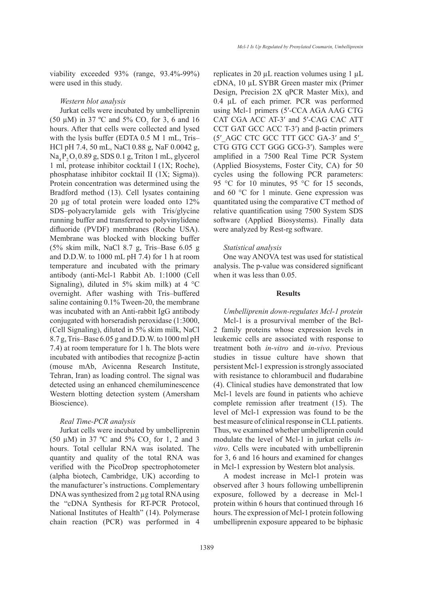viability exceeded 93% (range, 93.4%-99%) were used in this study.

#### *Western blot analysis*

Jurkat cells were incubated by umbelliprenin (50  $\mu$ M) in 37 °C and 5% CO<sub>2</sub> for 3, 6 and 16 hours. After that cells were collected and lysed with the lysis buffer (EDTA 0.5 M 1 mL, Tris– HCl pH 7.4, 50 mL, NaCl 0.88 g, NaF 0.0042 g,  $Na<sub>a</sub>P<sub>2</sub>O<sub>2</sub>0.89$  g, SDS 0.1 g, Triton 1 mL, glycerol 1 ml, protease inhibitor cocktail I (1X; Roche), phosphatase inhibitor cocktail II (1X; Sigma)). Protein concentration was determined using the Bradford method (13). Cell lysates containing 20 µg of total protein were loaded onto 12% SDS–polyacrylamide gels with Tris/glycine running buffer and transferred to polyvinylidene difluoride (PVDF) membranes (Roche USA). Membrane was blocked with blocking buffer (5% skim milk, NaCl 8.7 g, Tris–Base 6.05 g and D.D.W. to 1000 mL pH 7.4) for 1 h at room temperature and incubated with the primary antibody (anti-Mcl-1 Rabbit Ab. 1:1000 (Cell Signaling), diluted in 5% skim milk) at 4  $^{\circ}$ C overnight. After washing with Tris–buffered saline containing 0.1% Tween-20, the membrane was incubated with an Anti-rabbit IgG antibody conjugated with horseradish peroxidase (1:3000, (Cell Signaling), diluted in 5% skim milk, NaCl 8.7 g, Tris–Base 6.05 g and D.D.W. to 1000 ml pH 7.4) at room temperature for 1 h. The blots were incubated with antibodies that recognize β-actin (mouse mAb, Avicenna Research Institute, Tehran, Iran) as loading control. The signal was detected using an enhanced chemiluminescence Western blotting detection system (Amersham Bioscience).

# *Real Time-PCR analysis*

Jurkat cells were incubated by umbelliprenin (50  $\mu$ M) in 37 °C and 5% CO<sub>2</sub> for 1, 2 and 3 hours. Total cellular RNA was isolated. The quantity and quality of the total RNA was verified with the PicoDrop spectrophotometer (alpha biotech, Cambridge, UK) according to the manufacturer's instructions. Complementary DNA was synthesized from 2 µg total RNA using the "cDNA Synthesis for RT-PCR Protocol, National Institutes of Health" (14). Polymerase chain reaction (PCR) was performed in 4

replicates in 20 µL reaction volumes using 1 µL cDNA, 10 µL SYBR Green master mix (Primer Design, Precision 2X qPCR Master Mix), and 0.4 µL of each primer. PCR was performed using Mcl-1 primers (5′-CCA AGA AAG CTG CAT CGA ACC AT-3′ and 5′-CAG CAC ATT CCT GAT GCC ACC T-3<sup>'</sup>) and β-actin primers (5′\_AGC CTC GCC TTT GCC GA-3′ and 5′\_ CTG GTG CCT GGG GCG-3′). Samples were amplified in a 7500 Real Time PCR System (Applied Biosystems, Foster City, CA) for 50 cycles using the following PCR parameters: 95 °C for 10 minutes, 95 °C for 15 seconds, and 60 °C for 1 minute. Gene expression was quantitated using the comparative CT method of relative quantification using 7500 System SDS software (Applied Biosystems). Finally data were analyzed by Rest-rg software.

#### *Statistical analysis*

One way ANOVA test was used for statistical analysis. The p-value was considered significant when it was less than 0.05.

#### **Results**

*Umbelliprenin down-regulates Mcl-1 protein* Mcl-1 is a prosurvival member of the Bcl-2 family proteins whose expression levels in leukemic cells are associated with response to treatment both *in-vitro* and *in-vivo*. Previous studies in tissue culture have shown that persistent Mcl-1 expression is strongly associated with resistance to chlorambucil and fludarabine (4). Clinical studies have demonstrated that low Mcl-1 levels are found in patients who achieve complete remission after treatment (15). The level of Mcl-1 expression was found to be the best measure of clinical response in CLL patients. Thus, we examined whether umbelliprenin could modulate the level of Mcl-1 in jurkat cells *invitro*. Cells were incubated with umbelliprenin for 3, 6 and 16 hours and examined for changes in Mcl-1 expression by Western blot analysis.

A modest increase in Mcl-1 protein was observed after 3 hours following umbelliprenin exposure, followed by a decrease in Mcl-1 protein within 6 hours that continued through 16 hours. The expression of Mcl-1 protein following umbelliprenin exposure appeared to be biphasic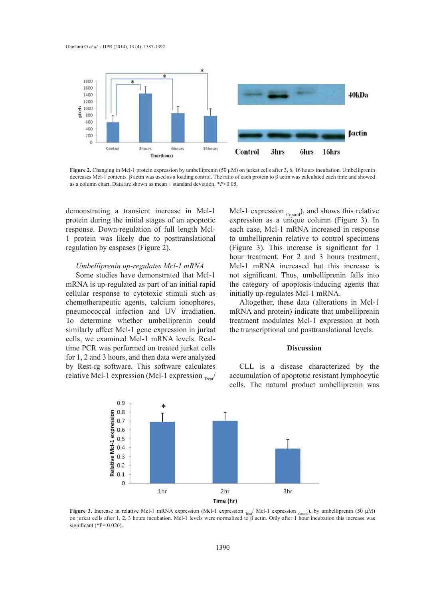

**Figure 2.** Changing in Mcl-1 protein expression by umbelliprenin (50 µM) on jurkat cells after 3, 6, 16 hours incubation. Umbelliprenin decreases Mcl-1 contents. β actin was used as a loading control. The ratio of each protein to β actin was calculated each time and showed as a column chart. Data are shown as mean ± standard deviation. \**P*<0.05.

demonstrating a transient increase in Mcl-1 protein during the initial stages of an apoptotic response. Down-regulation of full length Mcl-1 protein was likely due to posttranslational regulation by caspases (Figure 2).

# *Umbelliprenin up-regulates Mcl-1 mRNA*

Some studies have demonstrated that Mcl-1 mRNA is up-regulated as part of an initial rapid cellular response to cytotoxic stimuli such as chemotherapeutic agents, calcium ionophores, pneumococcal infection and UV irradiation. To determine whether umbelliprenin could similarly affect Mcl-1 gene expression in jurkat cells, we examined Mcl-1 mRNA levels. Realtime PCR was performed on treated jurkat cells for 1, 2 and 3 hours, and then data were analyzed by Rest-rg software. This software calculates relative Mcl-1 expression (Mcl-1 expression  $_{\text{Treat}}$ )

Mcl-1 expression  $_{\text{Control}}$ ), and shows this relative expression as a unique column (Figure 3). In each case, Mcl-1 mRNA increased in response to umbelliprenin relative to control specimens (Figure 3). This increase is significant for 1 hour treatment. For 2 and 3 hours treatment, Mcl-1 mRNA increased but this increase is not significant. Thus, umbelliprenin falls into the category of apoptosis-inducing agents that initially up-regulates Mcl-1 mRNA.

Altogether, these data (alterations in Mcl-1 mRNA and protein) indicate that umbelliprenin treatment modulates Mcl-1 expression at both the transcriptional and posttranslational levels.

# **Discussion**

CLL is a disease characterized by the accumulation of apoptotic resistant lymphocytic cells. The natural product umbelliprenin was



**Figure 3.** Increase in relative Mcl-1 mRNA expression (Mcl-1 expression  $_{\text{Tree}}$ / Mcl-1 expression  $_{\text{control}}$ ), by umbelliprenin (50 µM) on jurkat cells after 1, 2, 3 hours incubation. Mcl-1 levels were normalized to β actin. Only after 1 hour incubation this increase was significant (\* $P= 0.026$ ).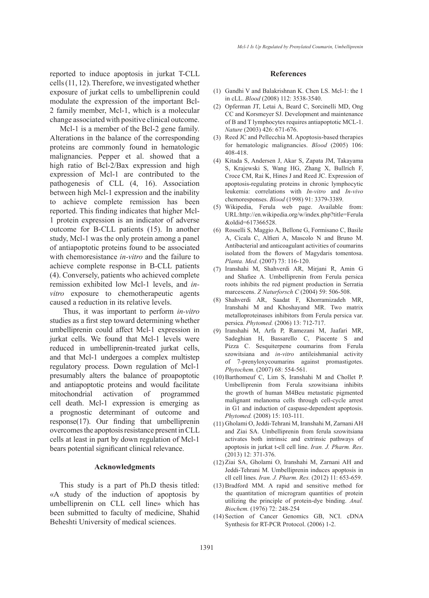reported to induce apoptosis in jurkat T-CLL cells (11, 12). Therefore, we investigated whether exposure of jurkat cells to umbelliprenin could modulate the expression of the important Bcl-2 family member, Mcl-1, which is a molecular change associated with positive clinical outcome.

Mcl-1 is a member of the Bcl-2 gene family. Alterations in the balance of the corresponding proteins are commonly found in hematologic malignancies. Pepper et al. showed that a high ratio of Bcl-2/Bax expression and high expression of Mcl-1 are contributed to the pathogenesis of CLL (4, 16). Association between high Mcl-1 expression and the inability to achieve complete remission has been reported. This finding indicates that higher Mcl-1 protein expression is an indicator of adverse outcome for B-CLL patients (15). In another study, Mcl-1 was the only protein among a panel of antiapoptotic proteins found to be associated with chemoresistance *in-vitro* and the failure to achieve complete response in B-CLL patients (4). Conversely, patients who achieved complete remission exhibited low Mcl-1 levels, and *invitro* exposure to chemotherapeutic agents caused a reduction in its relative levels.

 Thus, it was important to perform *in-vitro* studies as a first step toward determining whether umbelliprenin could affect Mcl-1 expression in jurkat cells. We found that Mcl-1 levels were reduced in umbelliprenin-treated jurkat cells, and that Mcl-1 undergoes a complex multistep regulatory process. Down regulation of Mcl-1 presumably alters the balance of proapoptotic and antiapoptotic proteins and would facilitate mitochondrial activation of programmed cell death. Mcl-1 expression is emerging as a prognostic determinant of outcome and response(17). Our finding that umbelliprenin overcomes the apoptosis resistance present in CLL cells at least in part by down regulation of Mcl-1 bears potential significant clinical relevance.

## **Acknowledgments**

This study is a part of Ph.D thesis titled: «A study of the induction of apoptosis by umbelliprenin on CLL cell line» which has been submitted to faculty of medicine, Shahid Beheshti University of medical sciences.

#### **References**

- $(1)$  Gandhi V and Balakrishnan K. Chen LS. Mcl-1: the 1 in cLL. *Blood* (2008) 112: 3538-3540.
- (2) Opferman JT, Letai A, Beard C, Sorcinelli MD, Ong CC and Korsmeyer SJ. Development and maintenance of B and T lymphocytes requires antiapoptotic MCL-1. *Nature* (2003) 426: 671-676.
- (3) Reed JC and Pellecchia M. Apoptosis-based therapies for hematologic malignancies. *Blood* (2005) 106: 408-418.
- Kitada S, Andersen J, Akar S, Zapata JM, Takayama (4) S, Krajewski S, Wang HG, Zhang X, Bullrich F, Croce CM, Rai K, Hines J and Reed JC. Expression of apoptosis-regulating proteins in chronic lymphocytic leukemia: correlations with *In-vitro* and *In-vivo* chemoresponses. *Blood* (1998) 91: 3379-3389.
- Wikipedia, Ferula web page. Available from: (5) URL:http://en.wikipedia.org/w/index.php?title=Ferula &oldid=617366528.
- Rosselli S, Maggio A, Bellone G, Formisano C, Basile (6) A, Cicala C, Alfieri A, Mascolo N and Bruno M. Antibacterial and anticoagulant activities of coumarins isolated from the flowers of Magydaris tomentosa. *Planta. Med*. (2007) 73: 116-120.
- Iranshahi M, Shahverdi AR, Mirjani R, Amin G (7) and Shafiee A. Umbelliprenin from Ferula persica roots inhibits the red pigment production in Serratia marcescens. *Z Naturforsch C* (2004) 59: 506-508.
- Shahverdi AR, Saadat F, Khorramizadeh MR, (8) Iranshahi M and Khoshayand MR. Two matrix metalloproteinases inhibitors from Ferula persica var. persica. *Phytomed.* (2006) 13: 712-717.
- Iranshahi M, Arfa P, Ramezani M, Jaafari MR, (9) Sadeghian H, Bassarello C, Piacente S and Pizza C. Sesquiterpene coumarins from Ferula szowitsiana and *in-vitro* antileishmanial activity of 7-prenyloxycoumarins against promastigotes. *Phytochem.* (2007) 68: 554-561.
- $(10)$  Barthomeuf C, Lim S, Iranshahi M and Chollet P. Umbelliprenin from Ferula szowitsiana inhibits the growth of human M4Beu metastatic pigmented malignant melanoma cells through cell-cycle arrest in G1 and induction of caspase-dependent apoptosis. *Phytomed.* (2008) 15: 103-111.
- Gholami O, Jeddi-Tehrani M, Iranshahi M, Zarnani AH (11) and Ziai SA. Umbelliprenin from ferula szowitsiana activates both intrinsic and extrinsic pathways of apoptosis in jurkat t-cll cell line. *Iran. J. Pharm. Res*. (2013) 12: 371-376.
- (12) Ziai SA, Gholami O, Iranshahi M, Zarnani AH and Jeddi-Tehrani M. Umbelliprenin induces apoptosis in cll cell lines. *Iran. J. Pharm. Res.* (2012) 11: 653-659.
- $(13)$  Bradford MM. A rapid and sensitive method for the quantitation of microgram quantities of protein utilizing the principle of protein-dye binding. *Anal. Biochem.* (1976) 72: 248-254
- (14) Section of Cancer Genomics GB, NCI. cDNA Synthesis for RT-PCR Protocol. (2006) 1-2.